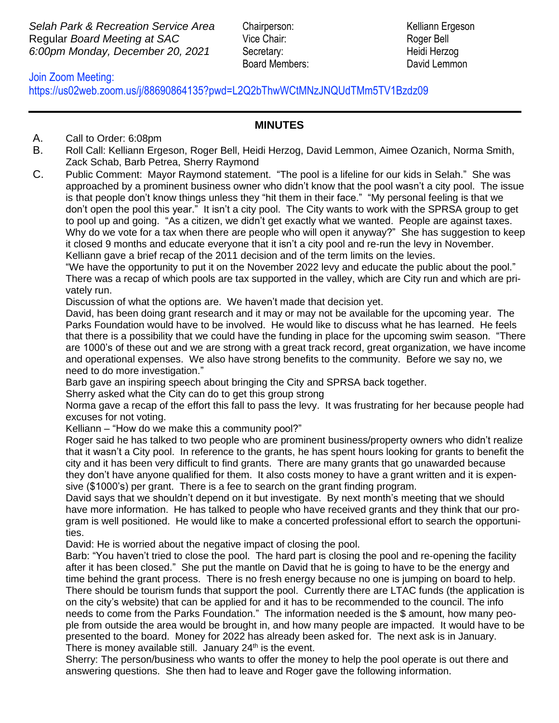**Selah Park & Recreation Service Area** Chairperson: Kelliann Ergeson Regular *Board Meeting at SAC* Vice Chair: Roger Bell *6:00pm Monday, December 20, 2021* Secretary: Heidi Herzog

Board Members: David Lemmon

## https://us02web.zoom.us/j/88690864135?pwd=L2Q2bThwWCtMNzJNQUdTMm5TV1Bzdz09Join Zoom Meeting:

## **MINUTES**

- A. Call to Order: 6:08pm
- B. Roll Call: Kelliann Ergeson, Roger Bell, Heidi Herzog, David Lemmon, Aimee Ozanich, Norma Smith, Zack Schab, Barb Petrea, Sherry Raymond
- C. Public Comment: Mayor Raymond statement. "The pool is a lifeline for our kids in Selah." She was approached by a prominent business owner who didn't know that the pool wasn't a city pool. The issue is that people don't know things unless they "hit them in their face." "My personal feeling is that we don't open the pool this year." It isn't a city pool. The City wants to work with the SPRSA group to get to pool up and going. "As a citizen, we didn't get exactly what we wanted. People are against taxes. Why do we vote for a tax when there are people who will open it anyway?" She has suggestion to keep it closed 9 months and educate everyone that it isn't a city pool and re-run the levy in November. Kelliann gave a brief recap of the 2011 decision and of the term limits on the levies.

"We have the opportunity to put it on the November 2022 levy and educate the public about the pool." There was a recap of which pools are tax supported in the valley, which are City run and which are privately run.

Discussion of what the options are. We haven't made that decision yet.

David, has been doing grant research and it may or may not be available for the upcoming year. The Parks Foundation would have to be involved. He would like to discuss what he has learned. He feels that there is a possibility that we could have the funding in place for the upcoming swim season. "There are 1000's of these out and we are strong with a great track record, great organization, we have income and operational expenses. We also have strong benefits to the community. Before we say no, we need to do more investigation."

Barb gave an inspiring speech about bringing the City and SPRSA back together.

Sherry asked what the City can do to get this group strong

Norma gave a recap of the effort this fall to pass the levy. It was frustrating for her because people had excuses for not voting.

Kelliann – "How do we make this a community pool?"

Roger said he has talked to two people who are prominent business/property owners who didn't realize that it wasn't a City pool. In reference to the grants, he has spent hours looking for grants to benefit the city and it has been very difficult to find grants. There are many grants that go unawarded because they don't have anyone qualified for them. It also costs money to have a grant written and it is expensive (\$1000's) per grant. There is a fee to search on the grant finding program.

David says that we shouldn't depend on it but investigate. By next month's meeting that we should have more information. He has talked to people who have received grants and they think that our program is well positioned. He would like to make a concerted professional effort to search the opportunities.

David: He is worried about the negative impact of closing the pool.

Barb: "You haven't tried to close the pool. The hard part is closing the pool and re-opening the facility after it has been closed." She put the mantle on David that he is going to have to be the energy and time behind the grant process. There is no fresh energy because no one is jumping on board to help. There should be tourism funds that support the pool. Currently there are LTAC funds (the application is on the city's website) that can be applied for and it has to be recommended to the council. The info needs to come from the Parks Foundation." The information needed is the \$ amount, how many people from outside the area would be brought in, and how many people are impacted. It would have to be presented to the board. Money for 2022 has already been asked for. The next ask is in January. There is money available still. January  $24<sup>th</sup>$  is the event.

Sherry: The person/business who wants to offer the money to help the pool operate is out there and answering questions. She then had to leave and Roger gave the following information.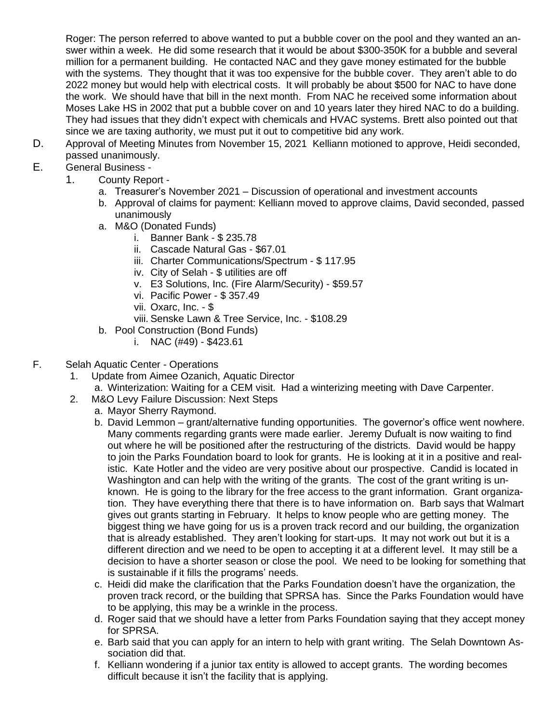Roger: The person referred to above wanted to put a bubble cover on the pool and they wanted an answer within a week. He did some research that it would be about \$300-350K for a bubble and several million for a permanent building. He contacted NAC and they gave money estimated for the bubble with the systems. They thought that it was too expensive for the bubble cover. They aren't able to do 2022 money but would help with electrical costs. It will probably be about \$500 for NAC to have done the work. We should have that bill in the next month. From NAC he received some information about Moses Lake HS in 2002 that put a bubble cover on and 10 years later they hired NAC to do a building. They had issues that they didn't expect with chemicals and HVAC systems. Brett also pointed out that since we are taxing authority, we must put it out to competitive bid any work.

D. Approval of Meeting Minutes from November 15, 2021 Kelliann motioned to approve, Heidi seconded, passed unanimously.

## E. General Business -

- 1. County Report
	- a. Treasurer's November 2021 Discussion of operational and investment accounts
	- b. Approval of claims for payment: Kelliann moved to approve claims, David seconded, passed unanimously
	- a. M&O (Donated Funds)
		- i. Banner Bank \$ 235.78
		- ii. Cascade Natural Gas \$67.01
		- iii. Charter Communications/Spectrum \$ 117.95
		- iv. City of Selah \$ utilities are off
		- v. E3 Solutions, Inc. (Fire Alarm/Security) \$59.57
		- vi. Pacific Power \$ 357.49
		- vii. Oxarc, Inc. \$
		- viii. Senske Lawn & Tree Service, Inc. \$108.29
	- b. Pool Construction (Bond Funds)
		- i. NAC  $(\#49)$  \$423.61

## F. Selah Aquatic Center - Operations

- 1. Update from Aimee Ozanich, Aquatic Director
	- a. Winterization: Waiting for a CEM visit. Had a winterizing meeting with Dave Carpenter.
- 2. M&O Levy Failure Discussion: Next Steps
	- a. Mayor Sherry Raymond.
	- b. David Lemmon grant/alternative funding opportunities. The governor's office went nowhere. Many comments regarding grants were made earlier. Jeremy Dufualt is now waiting to find out where he will be positioned after the restructuring of the districts. David would be happy to join the Parks Foundation board to look for grants. He is looking at it in a positive and realistic. Kate Hotler and the video are very positive about our prospective. Candid is located in Washington and can help with the writing of the grants. The cost of the grant writing is unknown. He is going to the library for the free access to the grant information. Grant organization. They have everything there that there is to have information on. Barb says that Walmart gives out grants starting in February. It helps to know people who are getting money. The biggest thing we have going for us is a proven track record and our building, the organization that is already established. They aren't looking for start-ups. It may not work out but it is a different direction and we need to be open to accepting it at a different level. It may still be a decision to have a shorter season or close the pool. We need to be looking for something that is sustainable if it fills the programs' needs.
	- c. Heidi did make the clarification that the Parks Foundation doesn't have the organization, the proven track record, or the building that SPRSA has. Since the Parks Foundation would have to be applying, this may be a wrinkle in the process.
	- d. Roger said that we should have a letter from Parks Foundation saying that they accept money for SPRSA.
	- e. Barb said that you can apply for an intern to help with grant writing. The Selah Downtown Association did that.
	- f. Kelliann wondering if a junior tax entity is allowed to accept grants. The wording becomes difficult because it isn't the facility that is applying.